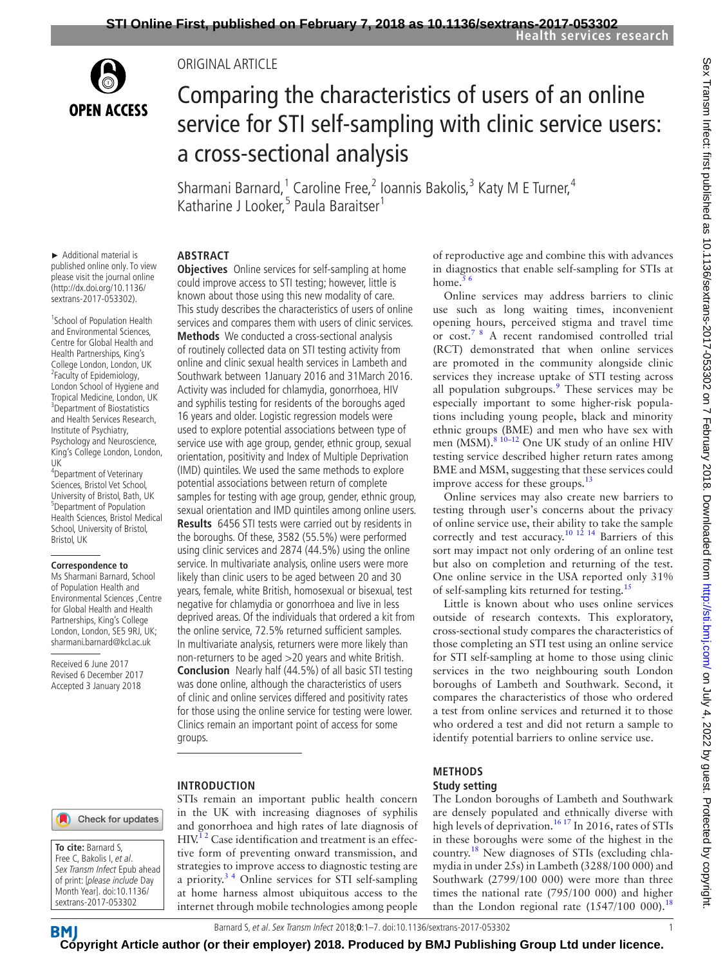

#### Original Article

# Comparing the characteristics of users of an online service for STI self-sampling with clinic service users: a cross-sectional analysis

Sharmani Barnard,<sup>1</sup> Caroline Free,<sup>2</sup> Ioannis Bakolis,<sup>3</sup> Katy M E Turner,<sup>4</sup> Katharine J Looker,<sup>5</sup> Paula Baraitser<sup>1</sup>

► Additional material is published online only. To view please visit the journal online (http://dx.doi.org/10.1136/ sextrans-2017-053302).

1 School of Population Health and Environmental Sciences, Centre for Global Health and Health Partnerships, King's College London, London, UK <sup>2</sup> <sup>2</sup>Faculty of Epidemiology, London School of Hygiene and Tropical Medicine, London, UK <sup>3</sup> Department of Biostatistics and Health Services Research, Institute of Psychiatry, Psychology and Neuroscience, King's College London, London, UK

4 Department of Veterinary Sciences, Bristol Vet School, University of Bristol, Bath, UK 5 Department of Population Health Sciences, Bristol Medical School, University of Bristol, Bristol, UK

#### **Correspondence to**

Ms Sharmani Barnard, School of Population Health and Environmental Sciences ,Centre for Global Health and Health Partnerships, King's College London, London, SE5 9RJ, UK; sharmani.barnard@kcl.ac.uk

Received 6 June 2017 Revised 6 December 2017 Accepted 3 January 2018

#### **Abstract**

**Objectives** Online services for self-sampling at home could improve access to STI testing; however, little is known about those using this new modality of care. This study describes the characteristics of users of online services and compares them with users of clinic services. **Methods** We conducted a cross-sectional analysis of routinely collected data on STI testing activity from online and clinic sexual health services in Lambeth and Southwark between 1January 2016 and 31March 2016. Activity was included for chlamydia, gonorrhoea, HIV and syphilis testing for residents of the boroughs aged 16 years and older. Logistic regression models were used to explore potential associations between type of service use with age group, gender, ethnic group, sexual orientation, positivity and Index of Multiple Deprivation (IMD) quintiles. We used the same methods to explore potential associations between return of complete samples for testing with age group, gender, ethnic group, sexual orientation and IMD quintiles among online users. **Results** 6456 STI tests were carried out by residents in the boroughs. Of these, 3582 (55.5%) were performed using clinic services and 2874 (44.5%) using the online service. In multivariate analysis, online users were more likely than clinic users to be aged between 20 and 30 years, female, white British, homosexual or bisexual, test negative for chlamydia or gonorrhoea and live in less deprived areas. Of the individuals that ordered a kit from the online service, 72.5% returned sufficient samples. In multivariate analysis, returners were more likely than non-returners to be aged >20 years and white British. **Conclusion** Nearly half (44.5%) of all basic STI testing was done online, although the characteristics of users of clinic and online services differed and positivity rates for those using the online service for testing were lower. Clinics remain an important point of access for some groups.

#### **Introduction**

Check for updates

**To cite:** Barnard S, Free C, Bakolis I, et al. Sex Transm Infect Epub ahead of print: [please include Day Month Year]. doi:10.1136/ sextrans-2017-053302

STIs remain an important public health concern in the UK with increasing diagnoses of syphilis and gonorrhoea and high rates of late diagnosis of  $HIV<sup>12</sup>$  Case identification and treatment is an effective form of preventing onward transmission, and strategies to improve access to diagnostic testing are a priority. $3<sup>4</sup>$  Online services for STI self-sampling at home harness almost ubiquitous access to the internet through mobile technologies among people

of reproductive age and combine this with advances in diagnostics that enable self-sampling for STIs at home.<sup>5</sup>

Online services may address barriers to clinic use such as long waiting times, inconvenient opening hours, perceived stigma and travel time or cost[.7 8](#page-6-3) A recent randomised controlled trial (RCT) demonstrated that when online services are promoted in the community alongside clinic services they increase uptake of STI testing across all population subgroups.<sup>[9](#page-6-4)</sup> These services may be especially important to some higher-risk populations including young people, black and minority ethnic groups (BME) and men who have sex with men (MSM).<sup>8 10-12</sup> One UK study of an online HIV testing service described higher return rates among BME and MSM, suggesting that these services could improve access for these groups.<sup>[13](#page-6-6)</sup>

Online services may also create new barriers to testing through user's concerns about the privacy of online service use, their ability to take the sample correctly and test accuracy.<sup>[10 12 14](#page-6-7)</sup> Barriers of this sort may impact not only ordering of an online test but also on completion and returning of the test. One online service in the USA reported only 31% of self-sampling kits returned for testing.<sup>[15](#page-6-8)</sup>

Little is known about who uses online services outside of research contexts. This exploratory, cross-sectional study compares the characteristics of those completing an STI test using an online service for STI self-sampling at home to those using clinic services in the two neighbouring south London boroughs of Lambeth and Southwark. Second, it compares the characteristics of those who ordered a test from online services and returned it to those who ordered a test and did not return a sample to identify potential barriers to online service use.

## **Methods**

#### **Study setting**

The London boroughs of Lambeth and Southwark are densely populated and ethnically diverse with high levels of deprivation.<sup>[16 17](#page-6-9)</sup> In 2016, rates of STIs in these boroughs were some of the highest in the country.[18](#page-6-10) New diagnoses of STIs (excluding chlamydia in under 25s) in Lambeth (3288/100 000) and Southwark (2799/100 000) were more than three times the national rate (795/100 000) and higher than the London regional rate  $(1547/100000).$ <sup>[18](#page-6-10)</sup>

## Barnard S, et al. Sex Transm Infect 2018;**0**:1–7. doi:10.1136/sextrans-2017-053302 1

**BM [Cop](http://sti.bmj.com)yright Article author (or their employer) 2018. Produced by BMJ Publishing Group Ltd under licence.**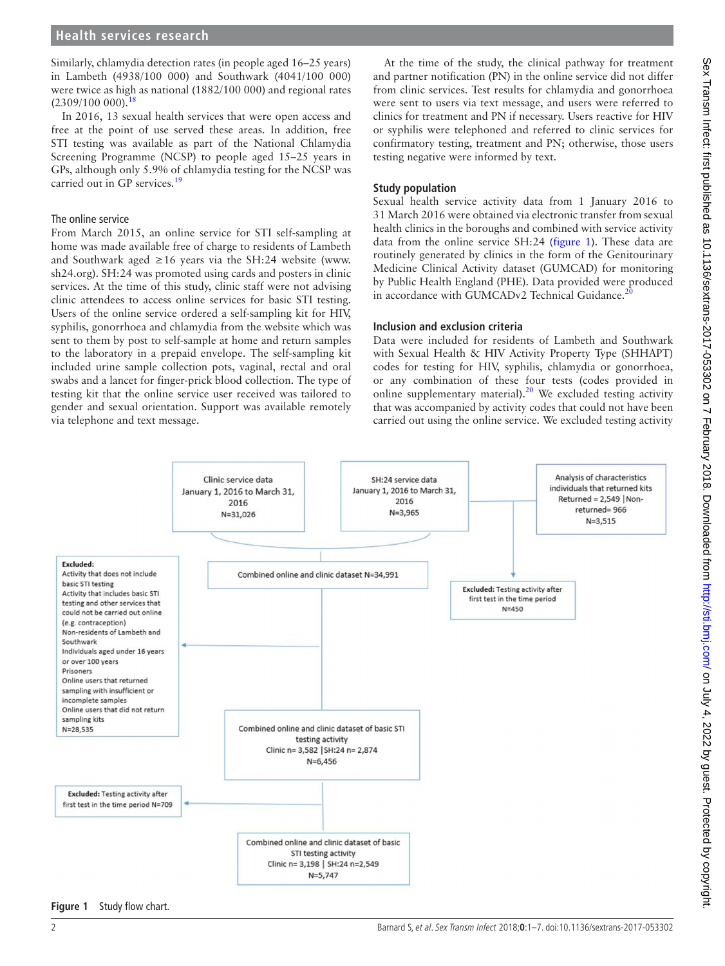Similarly, chlamydia detection rates (in people aged 16–25 years) in Lambeth (4938/100 000) and Southwark (4041/100 000) were twice as high as national (1882/100 000) and regional rates  $(2309/100000).$ <sup>1</sup>

In 2016, 13 sexual health services that were open access and free at the point of use served these areas. In addition, free STI testing was available as part of the National Chlamydia Screening Programme (NCSP) to people aged 15–25 years in GPs, although only 5.9% of chlamydia testing for the NCSP was carried out in GP services.<sup>19</sup>

#### The online service

From March 2015, an online service for STI self-sampling at home was made available free of charge to residents of Lambeth and Southwark aged ≥16 years via the SH:24 website ([www.](www.sh24.org) [sh24.org\)](www.sh24.org). SH:24 was promoted using cards and posters in clinic services. At the time of this study, clinic staff were not advising clinic attendees to access online services for basic STI testing. Users of the online service ordered a self-sampling kit for HIV, syphilis, gonorrhoea and chlamydia from the website which was sent to them by post to self-sample at home and return samples to the laboratory in a prepaid envelope. The self-sampling kit included urine sample collection pots, vaginal, rectal and oral swabs and a lancet for finger-prick blood collection. The type of testing kit that the online service user received was tailored to gender and sexual orientation. Support was available remotely via telephone and text message.

At the time of the study, the clinical pathway for treatment and partner notification (PN) in the online service did not differ from clinic services. Test results for chlamydia and gonorrhoea were sent to users via text message, and users were referred to clinics for treatment and PN if necessary. Users reactive for HIV or syphilis were telephoned and referred to clinic services for confirmatory testing, treatment and PN; otherwise, those users testing negative were informed by text.

## **Study population**

Sexual health service activity data from 1 January 2016 to 31 March 2016 were obtained via electronic transfer from sexual health clinics in the boroughs and combined with service activity data from the online service SH:24 ([figure](#page-1-0) 1). These data are routinely generated by clinics in the form of the Genitourinary Medicine Clinical Activity dataset (GUMCAD) for monitoring by Public Health England (PHE). Data provided were produced in accordance with GUMCADv2 Technical Guidance.<sup>2</sup>

#### **Inclusion and exclusion criteria**

Data were included for residents of Lambeth and Southwark with Sexual Health & HIV Activity Property Type (SHHAPT) codes for testing for HIV, syphilis, chlamydia or gonorrhoea, or any combination of these four tests (codes provided in online supplementary material). $20$  We excluded testing activity that was accompanied by activity codes that could not have been carried out using the online service. We excluded testing activity



#### <span id="page-1-0"></span>**Figure 1** Study flow chart.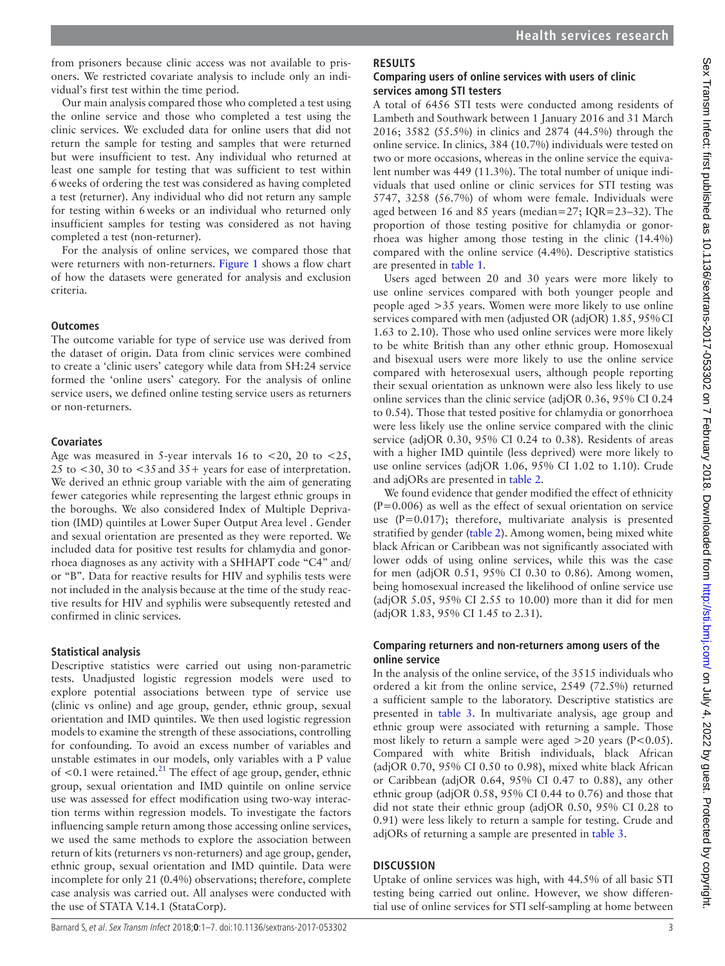from prisoners because clinic access was not available to prisoners. We restricted covariate analysis to include only an individual's first test within the time period.

Our main analysis compared those who completed a test using the online service and those who completed a test using the clinic services. We excluded data for online users that did not return the sample for testing and samples that were returned but were insufficient to test. Any individual who returned at least one sample for testing that was sufficient to test within 6weeks of ordering the test was considered as having completed a test (returner). Any individual who did not return any sample for testing within 6weeks or an individual who returned only insufficient samples for testing was considered as not having completed a test (non-returner).

For the analysis of online services, we compared those that were returners with non-returners. [Figure](#page-1-0) 1 shows a flow chart of how the datasets were generated for analysis and exclusion criteria.

#### **Outcomes**

The outcome variable for type of service use was derived from the dataset of origin. Data from clinic services were combined to create a 'clinic users' category while data from SH:24 service formed the 'online users' category. For the analysis of online service users, we defined online testing service users as returners or non-returners.

#### **Covariates**

Age was measured in 5-year intervals 16 to  $\langle 20, 20 \rangle$  to  $\langle 25, 20 \rangle$ 25 to <30, 30 to <35and 35+ years for ease of interpretation. We derived an ethnic group variable with the aim of generating fewer categories while representing the largest ethnic groups in the boroughs. We also considered Index of Multiple Deprivation (IMD) quintiles at Lower Super Output Area level . Gender and sexual orientation are presented as they were reported. We included data for positive test results for chlamydia and gonorrhoea diagnoses as any activity with a SHHAPT code "C4" and/ or "B". Data for reactive results for HIV and syphilis tests were not included in the analysis because at the time of the study reactive results for HIV and syphilis were subsequently retested and confirmed in clinic services.

#### **Statistical analysis**

Descriptive statistics were carried out using non-parametric tests. Unadjusted logistic regression models were used to explore potential associations between type of service use (clinic vs online) and age group, gender, ethnic group, sexual orientation and IMD quintiles. We then used logistic regression models to examine the strength of these associations, controlling for confounding. To avoid an excess number of variables and unstable estimates in our models, only variables with a P value of  $<$ 0.1 were retained.<sup>21</sup> The effect of age group, gender, ethnic group, sexual orientation and IMD quintile on online service use was assessed for effect modification using two-way interaction terms within regression models. To investigate the factors influencing sample return among those accessing online services, we used the same methods to explore the association between return of kits (returners vs non-returners) and age group, gender, ethnic group, sexual orientation and IMD quintile. Data were incomplete for only 21 (0.4%) observations; therefore, complete case analysis was carried out. All analyses were conducted with the use of STATA V.14.1 (StataCorp).

## **Results**

## **Comparing users of online services with users of clinic services among STI testers**

A total of 6456 STI tests were conducted among residents of Lambeth and Southwark between 1 January 2016 and 31 March 2016; 3582 (55.5%) in clinics and 2874 (44.5%) through the online service. In clinics, 384 (10.7%) individuals were tested on two or more occasions, whereas in the online service the equivalent number was 449 (11.3%). The total number of unique individuals that used online or clinic services for STI testing was 5747, 3258 (56.7%) of whom were female. Individuals were aged between 16 and 85 years (median=27; IQR=23–32). The proportion of those testing positive for chlamydia or gonorrhoea was higher among those testing in the clinic (14.4%) compared with the online service (4.4%). Descriptive statistics are presented in [table](#page-3-0) 1.

Users aged between 20 and 30 years were more likely to use online services compared with both younger people and people aged >35 years. Women were more likely to use online services compared with men (adjusted OR (adjOR) 1.85, 95%CI 1.63 to 2.10). Those who used online services were more likely to be white British than any other ethnic group. Homosexual and bisexual users were more likely to use the online service compared with heterosexual users, although people reporting their sexual orientation as unknown were also less likely to use online services than the clinic service (adjOR 0.36, 95% CI 0.24 to 0.54). Those that tested positive for chlamydia or gonorrhoea were less likely use the online service compared with the clinic service (adjOR 0.30, 95% CI 0.24 to 0.38). Residents of areas with a higher IMD quintile (less deprived) were more likely to use online services (adjOR 1.06, 95% CI 1.02 to 1.10). Crude and adjORs are presented in [table](#page-4-0) 2.

We found evidence that gender modified the effect of ethnicity  $(P=0.006)$  as well as the effect of sexual orientation on service use  $(P=0.017)$ ; therefore, multivariate analysis is presented stratified by gender ([table](#page-4-0) 2). Among women, being mixed white black African or Caribbean was not significantly associated with lower odds of using online services, while this was the case for men (adjOR 0.51, 95% CI 0.30 to 0.86). Among women, being homosexual increased the likelihood of online service use (adjOR 5.05, 95% CI 2.55 to 10.00) more than it did for men (adjOR 1.83, 95% CI 1.45 to 2.31).

## **Comparing returners and non-returners among users of the online service**

In the analysis of the online service, of the 3515 individuals who ordered a kit from the online service, 2549 (72.5%) returned a sufficient sample to the laboratory. Descriptive statistics are presented in [table](#page-5-0) 3. In multivariate analysis, age group and ethnic group were associated with returning a sample. Those most likely to return a sample were aged >20 years (P<0.05). Compared with white British individuals, black African (adjOR 0.70, 95% CI 0.50 to 0.98), mixed white black African or Caribbean (adjOR 0.64, 95% CI 0.47 to 0.88), any other ethnic group (adjOR 0.58, 95% CI 0.44 to 0.76) and those that did not state their ethnic group (adjOR 0.50, 95% CI 0.28 to 0.91) were less likely to return a sample for testing. Crude and adjORs of returning a sample are presented in [table](#page-5-0) 3.

## **Discussion**

Uptake of online services was high, with 44.5% of all basic STI testing being carried out online. However, we show differential use of online services for STI self-sampling at home between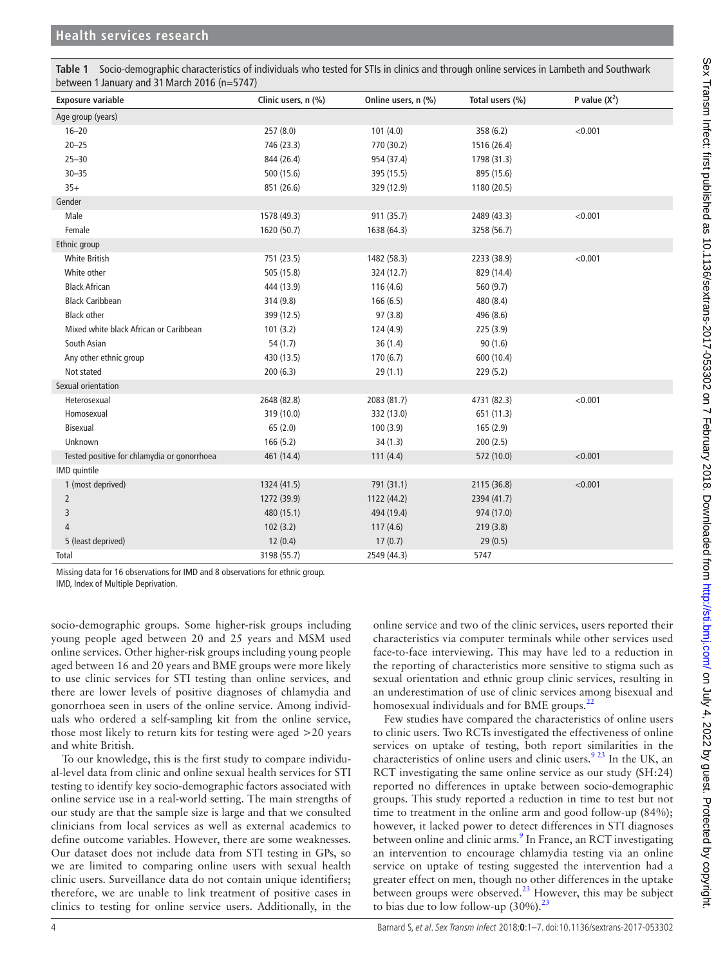| between 1 January and 31 March 2016 (n=5/4/) |                     |                     |                 |                 |  |  |  |  |
|----------------------------------------------|---------------------|---------------------|-----------------|-----------------|--|--|--|--|
| <b>Exposure variable</b>                     | Clinic users, n (%) | Online users, n (%) | Total users (%) | P value $(X^2)$ |  |  |  |  |
| Age group (years)                            |                     |                     |                 |                 |  |  |  |  |
| $16 - 20$                                    | 257 (8.0)           | 101(4.0)            | 358 (6.2)       | < 0.001         |  |  |  |  |
| $20 - 25$                                    | 746 (23.3)          | 770 (30.2)          | 1516 (26.4)     |                 |  |  |  |  |
| $25 - 30$                                    | 844 (26.4)          | 954 (37.4)          | 1798 (31.3)     |                 |  |  |  |  |
| $30 - 35$                                    | 500 (15.6)          | 395 (15.5)          | 895 (15.6)      |                 |  |  |  |  |
| $35+$                                        | 851 (26.6)          | 329 (12.9)          | 1180 (20.5)     |                 |  |  |  |  |
| Gender                                       |                     |                     |                 |                 |  |  |  |  |
| Male                                         | 1578 (49.3)         | 911 (35.7)          | 2489 (43.3)     | < 0.001         |  |  |  |  |
| Female                                       | 1620 (50.7)         | 1638 (64.3)         | 3258 (56.7)     |                 |  |  |  |  |
| Ethnic group                                 |                     |                     |                 |                 |  |  |  |  |
| <b>White British</b>                         | 751 (23.5)          | 1482 (58.3)         | 2233 (38.9)     | < 0.001         |  |  |  |  |
| White other                                  | 505 (15.8)          | 324 (12.7)          | 829 (14.4)      |                 |  |  |  |  |
| <b>Black African</b>                         | 444 (13.9)          | 116(4.6)            | 560 (9.7)       |                 |  |  |  |  |
| <b>Black Caribbean</b>                       | 314 (9.8)           | 166(6.5)            | 480 (8.4)       |                 |  |  |  |  |
| <b>Black other</b>                           | 399 (12.5)          | 97(3.8)             | 496 (8.6)       |                 |  |  |  |  |
| Mixed white black African or Caribbean       | 101(3.2)            | 124 (4.9)           | 225(3.9)        |                 |  |  |  |  |
| South Asian                                  | 54(1.7)             | 36(1.4)             | 90(1.6)         |                 |  |  |  |  |
| Any other ethnic group                       | 430 (13.5)          | 170(6.7)            | 600 (10.4)      |                 |  |  |  |  |
| Not stated                                   | 200(6.3)            | 29(1.1)             | 229(5.2)        |                 |  |  |  |  |
| Sexual orientation                           |                     |                     |                 |                 |  |  |  |  |
| Heterosexual                                 | 2648 (82.8)         | 2083 (81.7)         | 4731 (82.3)     | < 0.001         |  |  |  |  |
| Homosexual                                   | 319 (10.0)          | 332 (13.0)          | 651 (11.3)      |                 |  |  |  |  |
| Bisexual                                     | 65(2.0)             | 100(3.9)            | 165(2.9)        |                 |  |  |  |  |
| Unknown                                      | 166 (5.2)           | 34(1.3)             | 200(2.5)        |                 |  |  |  |  |
| Tested positive for chlamydia or gonorrhoea  | 461 (14.4)          | 111(4.4)            | 572 (10.0)      | < 0.001         |  |  |  |  |
| IMD quintile                                 |                     |                     |                 |                 |  |  |  |  |
| 1 (most deprived)                            | 1324 (41.5)         | 791 (31.1)          | 2115 (36.8)     | < 0.001         |  |  |  |  |
| $\overline{2}$                               | 1272 (39.9)         | 1122 (44.2)         | 2394 (41.7)     |                 |  |  |  |  |
| 3                                            | 480 (15.1)          | 494 (19.4)          | 974 (17.0)      |                 |  |  |  |  |
| $\overline{4}$                               | 102(3.2)            | 117(4.6)            | 219(3.8)        |                 |  |  |  |  |
| 5 (least deprived)                           | 12(0.4)             | 17(0.7)             | 29(0.5)         |                 |  |  |  |  |
| Total                                        | 3198 (55.7)         | 2549 (44.3)         | 5747            |                 |  |  |  |  |

<span id="page-3-0"></span>**Table 1** Socio-demographic characteristics of individuals who tested for STIs in clinics and through online services in Lambeth and Southwark between 1 January and 31March 2016 (n=5747)

Missing data for 16 observations for IMD and 8 observations for ethnic group.

IMD, Index of Multiple Deprivation.

socio-demographic groups. Some higher-risk groups including young people aged between 20 and 25 years and MSM used online services. Other higher-risk groups including young people aged between 16 and 20 years and BME groups were more likely to use clinic services for STI testing than online services, and there are lower levels of positive diagnoses of chlamydia and gonorrhoea seen in users of the online service. Among individuals who ordered a self-sampling kit from the online service, those most likely to return kits for testing were aged >20 years and white British.

To our knowledge, this is the first study to compare individual-level data from clinic and online sexual health services for STI testing to identify key socio-demographic factors associated with online service use in a real-world setting. The main strengths of our study are that the sample size is large and that we consulted clinicians from local services as well as external academics to define outcome variables. However, there are some weaknesses. Our dataset does not include data from STI testing in GPs, so we are limited to comparing online users with sexual health clinic users. Surveillance data do not contain unique identifiers; therefore, we are unable to link treatment of positive cases in clinics to testing for online service users. Additionally, in the

online service and two of the clinic services, users reported their characteristics via computer terminals while other services used face-to-face interviewing. This may have led to a reduction in the reporting of characteristics more sensitive to stigma such as sexual orientation and ethnic group clinic services, resulting in an underestimation of use of clinic services among bisexual and homosexual individuals and for BME groups.<sup>[22](#page-6-14)</sup>

Few studies have compared the characteristics of online users to clinic users. Two RCTs investigated the effectiveness of online services on uptake of testing, both report similarities in the characteristics of online users and clinic users.<sup>[9 23](#page-6-4)</sup> In the UK, an RCT investigating the same online service as our study (SH:24) reported no differences in uptake between socio-demographic groups. This study reported a reduction in time to test but not time to treatment in the online arm and good follow-up (84%); however, it lacked power to detect differences in STI diagnoses between online and clinic arms.<sup>[9](#page-6-4)</sup> In France, an RCT investigating an intervention to encourage chlamydia testing via an online service on uptake of testing suggested the intervention had a greater effect on men, though no other differences in the uptake between groups were observed. $2<sup>3</sup>$  However, this may be subject to bias due to low follow-up  $(30\%)$ .<sup>23</sup>

T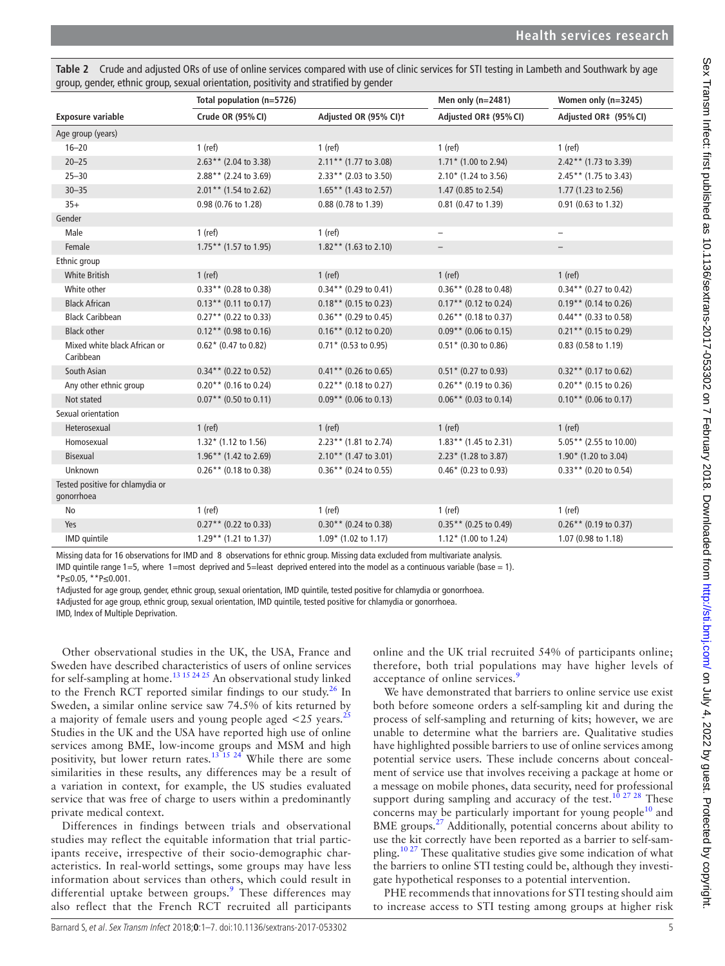<span id="page-4-0"></span>Table 2 Crude and adjusted ORs of use of online services compared with use of clinic services for STI testing in Lambeth and Southwark by age group, gender, ethnic group, sexual orientation, positivity and stratified by gender

|                                                | Total population (n=5726) |                          | Men only $(n=2481)$      | Women only (n=3245)      |
|------------------------------------------------|---------------------------|--------------------------|--------------------------|--------------------------|
| <b>Exposure variable</b>                       | Crude OR (95% CI)         | Adjusted OR (95% CI)t    | Adjusted OR‡ (95% CI)    | Adjusted OR‡ (95% CI)    |
| Age group (years)                              |                           |                          |                          |                          |
| $16 - 20$                                      | $1$ (ref)                 | $1$ (ref)                | $1$ (ref)                | $1$ (ref)                |
| $20 - 25$                                      | $2.63**$ (2.04 to 3.38)   | $2.11***$ (1.77 to 3.08) | $1.71*$ (1.00 to 2.94)   | $2.42**$ (1.73 to 3.39)  |
| $25 - 30$                                      | $2.88**$ (2.24 to 3.69)   | $2.33**$ (2.03 to 3.50)  | $2.10*$ (1.24 to 3.56)   | $2.45**$ (1.75 to 3.43)  |
| $30 - 35$                                      | $2.01***$ (1.54 to 2.62)  | $1.65**$ (1.43 to 2.57)  | 1.47 (0.85 to 2.54)      | 1.77 (1.23 to 2.56)      |
| $35+$                                          | 0.98 (0.76 to 1.28)       | 0.88 (0.78 to 1.39)      | 0.81 (0.47 to 1.39)      | 0.91 (0.63 to 1.32)      |
| Gender                                         |                           |                          |                          |                          |
| Male                                           | $1$ (ref)                 | $1$ (ref)                | $\overline{\phantom{0}}$ | $\qquad \qquad -$        |
| Female                                         | $1.75**$ (1.57 to 1.95)   | $1.82**$ (1.63 to 2.10)  | $\overline{\phantom{a}}$ | $\overline{\phantom{0}}$ |
| Ethnic group                                   |                           |                          |                          |                          |
| <b>White British</b>                           | $1$ (ref)                 | $1$ (ref)                | $1$ (ref)                | $1$ (ref)                |
| White other                                    | $0.33**$ (0.28 to 0.38)   | $0.34**$ (0.29 to 0.41)  | $0.36**$ (0.28 to 0.48)  | $0.34**$ (0.27 to 0.42)  |
| <b>Black African</b>                           | $0.13**$ (0.11 to 0.17)   | $0.18**$ (0.15 to 0.23)  | $0.17**$ (0.12 to 0.24)  | $0.19**$ (0.14 to 0.26)  |
| <b>Black Caribbean</b>                         | $0.27**$ (0.22 to 0.33)   | $0.36**$ (0.29 to 0.45)  | $0.26**$ (0.18 to 0.37)  | $0.44**$ (0.33 to 0.58)  |
| <b>Black other</b>                             | $0.12**$ (0.98 to 0.16)   | $0.16**$ (0.12 to 0.20)  | $0.09**$ (0.06 to 0.15)  | $0.21**$ (0.15 to 0.29)  |
| Mixed white black African or<br>Caribbean      | $0.62*$ (0.47 to 0.82)    | $0.71*$ (0.53 to 0.95)   | $0.51*$ (0.30 to 0.86)   | 0.83 (0.58 to 1.19)      |
| South Asian                                    | $0.34**$ (0.22 to 0.52)   | $0.41**$ (0.26 to 0.65)  | $0.51*$ (0.27 to 0.93)   | $0.32**$ (0.17 to 0.62)  |
| Any other ethnic group                         | $0.20**$ (0.16 to 0.24)   | $0.22$ ** (0.18 to 0.27) | $0.26**$ (0.19 to 0.36)  | $0.20**$ (0.15 to 0.26)  |
| Not stated                                     | $0.07**$ (0.50 to 0.11)   | $0.09**$ (0.06 to 0.13)  | $0.06**$ (0.03 to 0.14)  | $0.10**$ (0.06 to 0.17)  |
| Sexual orientation                             |                           |                          |                          |                          |
| Heterosexual                                   | $1$ (ref)                 | $1$ (ref)                | $1$ (ref)                | $1$ (ref)                |
| Homosexual                                     | $1.32*$ (1.12 to 1.56)    | 2.23** (1.81 to 2.74)    | $1.83**$ (1.45 to 2.31)  | $5.05**$ (2.55 to 10.00) |
| <b>Bisexual</b>                                | $1.96**$ (1.42 to 2.69)   | $2.10**$ (1.47 to 3.01)  | $2.23*$ (1.28 to 3.87)   | $1.90*$ (1.20 to 3.04)   |
| Unknown                                        | $0.26**$ (0.18 to 0.38)   | $0.36**$ (0.24 to 0.55)  | $0.46*$ (0.23 to 0.93)   | $0.33**$ (0.20 to 0.54)  |
| Tested positive for chlamydia or<br>gonorrhoea |                           |                          |                          |                          |
| <b>No</b>                                      | $1$ (ref)                 | $1$ (ref)                | $1$ (ref)                | $1$ (ref)                |
| Yes                                            | $0.27**$ (0.22 to 0.33)   | $0.30**$ (0.24 to 0.38)  | $0.35**$ (0.25 to 0.49)  | $0.26**$ (0.19 to 0.37)  |
| IMD quintile                                   | $1.29**$ (1.21 to 1.37)   | $1.09*$ (1.02 to 1.17)   | $1.12*$ (1.00 to 1.24)   | 1.07 (0.98 to 1.18)      |

Missing data for 16 observations for IMD and 8 observations for ethnic group. Missing data excluded from multivariate analysis.

IMD quintile range 1=5, where 1=most deprived and 5=least deprived entered into the model as a continuous variable (base = 1).

\*P≤0.05, \*\*P≤0.001.

†Adjusted for age group, gender, ethnic group, sexual orientation, IMD quintile, tested positive for chlamydia or gonorrhoea.

‡Adjusted for age group, ethnic group, sexual orientation, IMD quintile, tested positive for chlamydia or gonorrhoea.

IMD, Index of Multiple Deprivation.

Other observational studies in the UK, the USA, France and Sweden have described characteristics of users of online services for self-sampling at home.<sup>13 15 24 25</sup> An observational study linked to the French RCT reported similar findings to our study.<sup>[26](#page-6-16)</sup> In Sweden, a similar online service saw 74.5% of kits returned by a majority of female users and young people aged  $\lt 25$  $\lt 25$  years.<sup>25</sup> Studies in the UK and the USA have reported high use of online services among BME, low-income groups and MSM and high positivity, but lower return rates.<sup>13 15</sup> 24<sup> $\star$ </sup> While there are some similarities in these results, any differences may be a result of a variation in context, for example, the US studies evaluated service that was free of charge to users within a predominantly private medical context.

Differences in findings between trials and observational studies may reflect the equitable information that trial participants receive, irrespective of their socio-demographic characteristics. In real-world settings, some groups may have less information about services than others, which could result in differential uptake between groups.<sup>[9](#page-6-4)</sup> These differences may also reflect that the French RCT recruited all participants

online and the UK trial recruited 54% of participants online; therefore, both trial populations may have higher levels of acceptance of online services.<sup>[9](#page-6-4)</sup>

We have demonstrated that barriers to online service use exist both before someone orders a self-sampling kit and during the process of self-sampling and returning of kits; however, we are unable to determine what the barriers are. Qualitative studies have highlighted possible barriers to use of online services among potential service users. These include concerns about concealment of service use that involves receiving a package at home or a message on mobile phones, data security, need for professional support during sampling and accuracy of the test.<sup>[10 27 28](#page-6-7)</sup> These concerns may be particularly important for young people<sup>[10](#page-6-7)</sup> and BME groups.<sup>27</sup> Additionally, potential concerns about ability to use the kit correctly have been reported as a barrier to self-sampling.<sup>10 27</sup> These qualitative studies give some indication of what the barriers to online STI testing could be, although they investigate hypothetical responses to a potential intervention.

PHE recommends that innovations for STI testing should aim to increase access to STI testing among groups at higher risk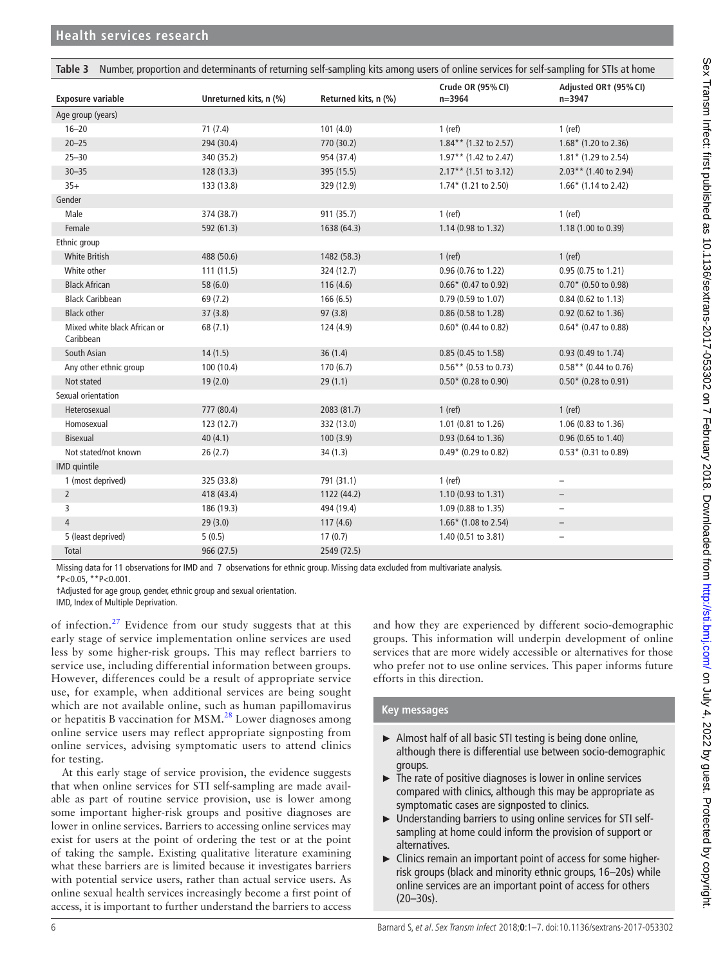<span id="page-5-0"></span>

| Number, proportion and determinants of returning self-sampling kits among users of online services for self-sampling for STIs at home<br>Table 3 |                        |                      |                                 |                                     |  |
|--------------------------------------------------------------------------------------------------------------------------------------------------|------------------------|----------------------|---------------------------------|-------------------------------------|--|
| <b>Exposure variable</b>                                                                                                                         | Unreturned kits, n (%) | Returned kits, n (%) | Crude OR (95% CI)<br>$n = 3964$ | Adjusted OR1 (95% CI)<br>$n = 3947$ |  |
| Age group (years)                                                                                                                                |                        |                      |                                 |                                     |  |
| $16 - 20$                                                                                                                                        | 71(7.4)                | 101(4.0)             | $1$ (ref)                       | $1$ (ref)                           |  |
| $20 - 25$                                                                                                                                        | 294 (30.4)             | 770 (30.2)           | $1.84**$ (1.32 to 2.57)         | $1.68*$ (1.20 to 2.36)              |  |
| $25 - 30$                                                                                                                                        | 340 (35.2)             | 954 (37.4)           | $1.97**$ (1.42 to 2.47)         | $1.81*$ (1.29 to 2.54)              |  |
| $30 - 35$                                                                                                                                        | 128 (13.3)             | 395 (15.5)           | $2.17**$ (1.51 to 3.12)         | $2.03**$ (1.40 to 2.94)             |  |
| $35+$                                                                                                                                            | 133 (13.8)             | 329 (12.9)           | $1.74*$ (1.21 to 2.50)          | $1.66*$ (1.14 to 2.42)              |  |
| Gender                                                                                                                                           |                        |                      |                                 |                                     |  |
| Male                                                                                                                                             | 374 (38.7)             | 911 (35.7)           | $1$ (ref)                       | $1$ (ref)                           |  |
| Female                                                                                                                                           | 592 (61.3)             | 1638 (64.3)          | 1.14 (0.98 to 1.32)             | 1.18 (1.00 to 0.39)                 |  |
| Ethnic group                                                                                                                                     |                        |                      |                                 |                                     |  |
| <b>White British</b>                                                                                                                             | 488 (50.6)             | 1482 (58.3)          | $1$ (ref)                       | $1$ (ref)                           |  |
| White other                                                                                                                                      | 111(11.5)              | 324 (12.7)           | 0.96 (0.76 to 1.22)             | 0.95 (0.75 to 1.21)                 |  |
| <b>Black African</b>                                                                                                                             | 58 (6.0)               | 116(4.6)             | $0.66*$ (0.47 to 0.92)          | $0.70*$ (0.50 to 0.98)              |  |
| <b>Black Caribbean</b>                                                                                                                           | 69 (7.2)               | 166(6.5)             | 0.79 (0.59 to 1.07)             | 0.84 (0.62 to 1.13)                 |  |
| <b>Black other</b>                                                                                                                               | 37(3.8)                | 97(3.8)              | 0.86 (0.58 to 1.28)             | 0.92 (0.62 to 1.36)                 |  |
| Mixed white black African or<br>Caribbean                                                                                                        | 68 (7.1)               | 124 (4.9)            | $0.60*$ (0.44 to 0.82)          | $0.64*$ (0.47 to 0.88)              |  |
| South Asian                                                                                                                                      | 14(1.5)                | 36(1.4)              | 0.85 (0.45 to 1.58)             | 0.93 (0.49 to 1.74)                 |  |
| Any other ethnic group                                                                                                                           | 100 (10.4)             | 170(6.7)             | $0.56**$ (0.53 to 0.73)         | $0.58**$ (0.44 to 0.76)             |  |
| Not stated                                                                                                                                       | 19(2.0)                | 29(1.1)              | $0.50*$ (0.28 to 0.90)          | $0.50*$ (0.28 to 0.91)              |  |
| Sexual orientation                                                                                                                               |                        |                      |                                 |                                     |  |
| Heterosexual                                                                                                                                     | 777 (80.4)             | 2083 (81.7)          | $1$ (ref)                       | $1$ (ref)                           |  |
| Homosexual                                                                                                                                       | 123(12.7)              | 332 (13.0)           | 1.01 (0.81 to 1.26)             | 1.06 (0.83 to 1.36)                 |  |
| <b>Bisexual</b>                                                                                                                                  | 40(4.1)                | 100(3.9)             | 0.93 (0.64 to 1.36)             | 0.96 (0.65 to 1.40)                 |  |
| Not stated/not known                                                                                                                             | 26(2.7)                | 34(1.3)              | $0.49*$ (0.29 to 0.82)          | $0.53*$ (0.31 to 0.89)              |  |
| IMD quintile                                                                                                                                     |                        |                      |                                 |                                     |  |
| 1 (most deprived)                                                                                                                                | 325 (33.8)             | 791 (31.1)           | $1$ (ref)                       | $\overline{\phantom{0}}$            |  |
| $\overline{2}$                                                                                                                                   | 418 (43.4)             | 1122 (44.2)          | 1.10 (0.93 to 1.31)             | $\overline{\phantom{0}}$            |  |
| 3                                                                                                                                                | 186 (19.3)             | 494 (19.4)           | 1.09 (0.88 to 1.35)             | $\overline{\phantom{0}}$            |  |
| $\overline{4}$                                                                                                                                   | 29(3.0)                | 117(4.6)             | $1.66*$ (1.08 to 2.54)          | $-$                                 |  |
| 5 (least deprived)                                                                                                                               | 5(0.5)                 | 17(0.7)              | 1.40 (0.51 to 3.81)             | $\qquad \qquad -$                   |  |
| Total                                                                                                                                            | 966 (27.5)             | 2549 (72.5)          |                                 |                                     |  |

Missing data for 11 observations for IMD and 7 observations for ethnic group. Missing data excluded from multivariate analysis.

\*P<0.05, \*\*P<0.001.

†Adjusted for age group, gender, ethnic group and sexual orientation.

IMD, Index of Multiple Deprivation.

of infection.<sup>27</sup> Evidence from our study suggests that at this early stage of service implementation online services are used less by some higher-risk groups. This may reflect barriers to service use, including differential information between groups. However, differences could be a result of appropriate service use, for example, when additional services are being sought which are not available online, such as human papillomavirus or hepatitis B vaccination for MSM.<sup>[28](#page-6-19)</sup> Lower diagnoses among online service users may reflect appropriate signposting from online services, advising symptomatic users to attend clinics for testing.

At this early stage of service provision, the evidence suggests that when online services for STI self-sampling are made available as part of routine service provision, use is lower among some important higher-risk groups and positive diagnoses are lower in online services. Barriers to accessing online services may exist for users at the point of ordering the test or at the point of taking the sample. Existing qualitative literature examining what these barriers are is limited because it investigates barriers with potential service users, rather than actual service users. As online sexual health services increasingly become a first point of access, it is important to further understand the barriers to access

and how they are experienced by different socio-demographic groups. This information will underpin development of online services that are more widely accessible or alternatives for those who prefer not to use online services. This paper informs future efforts in this direction.

## **Key messages**

- ► Almost half of all basic STI testing is being done online, although there is differential use between socio-demographic groups.
- $\blacktriangleright$  The rate of positive diagnoses is lower in online services compared with clinics, although this may be appropriate as symptomatic cases are signposted to clinics.
- ► Understanding barriers to using online services for STI selfsampling at home could inform the provision of support or alternatives.
- ► Clinics remain an important point of access for some higherrisk groups (black and minority ethnic groups, 16–20s) while online services are an important point of access for others (20–30s).